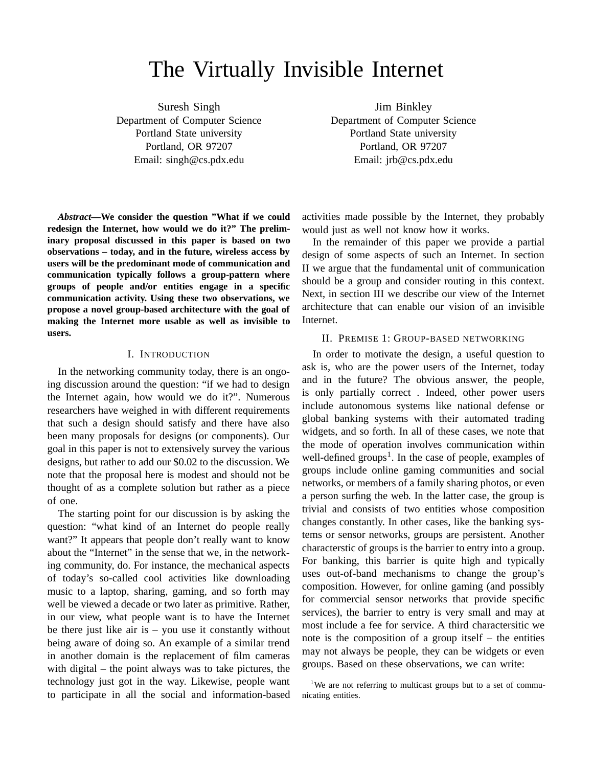# The Virtually Invisible Internet

Suresh Singh Department of Computer Science Portland State university Portland, OR 97207 Email: singh@cs.pdx.edu

Jim Binkley Department of Computer Science Portland State university Portland, OR 97207 Email: jrb@cs.pdx.edu

*Abstract***—We consider the question "What if we could redesign the Internet, how would we do it?" The preliminary proposal discussed in this paper is based on two observations – today, and in the future, wireless access by users will be the predominant mode of communication and communication typically follows a group-pattern where groups of people and/or entities engage in a specific communication activity. Using these two observations, we propose a novel group-based architecture with the goal of making the Internet more usable as well as invisible to users.**

## I. INTRODUCTION

In the networking community today, there is an ongoing discussion around the question: "if we had to design the Internet again, how would we do it?". Numerous researchers have weighed in with different requirements that such a design should satisfy and there have also been many proposals for designs (or components). Our goal in this paper is not to extensively survey the various designs, but rather to add our \$0.02 to the discussion. We note that the proposal here is modest and should not be thought of as a complete solution but rather as a piece of one.

The starting point for our discussion is by asking the question: "what kind of an Internet do people really want?" It appears that people don't really want to know about the "Internet" in the sense that we, in the networking community, do. For instance, the mechanical aspects of today's so-called cool activities like downloading music to a laptop, sharing, gaming, and so forth may well be viewed a decade or two later as primitive. Rather, in our view, what people want is to have the Internet be there just like air is  $-$  you use it constantly without being aware of doing so. An example of a similar trend in another domain is the replacement of film cameras with digital – the point always was to take pictures, the technology just got in the way. Likewise, people want to participate in all the social and information-based activities made possible by the Internet, they probably would just as well not know how it works.

In the remainder of this paper we provide a partial design of some aspects of such an Internet. In section II we argue that the fundamental unit of communication should be a group and consider routing in this context. Next, in section III we describe our view of the Internet architecture that can enable our vision of an invisible Internet.

## II. PREMISE 1: GROUP-BASED NETWORKING

In order to motivate the design, a useful question to ask is, who are the power users of the Internet, today and in the future? The obvious answer, the people, is only partially correct . Indeed, other power users include autonomous systems like national defense or global banking systems with their automated trading widgets, and so forth. In all of these cases, we note that the mode of operation involves communication within well-defined groups<sup>1</sup>. In the case of people, examples of groups include online gaming communities and social networks, or members of a family sharing photos, or even a person surfing the web. In the latter case, the group is trivial and consists of two entities whose composition changes constantly. In other cases, like the banking systems or sensor networks, groups are persistent. Another characterstic of groups is the barrier to entry into a group. For banking, this barrier is quite high and typically uses out-of-band mechanisms to change the group's composition. However, for online gaming (and possibly for commercial sensor networks that provide specific services), the barrier to entry is very small and may at most include a fee for service. A third charactersitic we note is the composition of a group itself – the entities may not always be people, they can be widgets or even groups. Based on these observations, we can write:

<sup>&</sup>lt;sup>1</sup>We are not referring to multicast groups but to a set of communicating entities.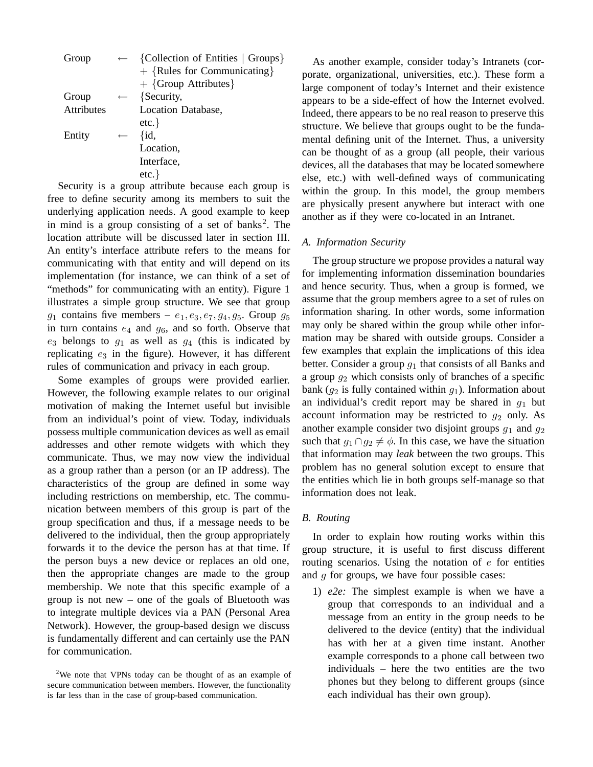| Group      | $\leftarrow$     | {Collection of Entities   Groups} |
|------------|------------------|-----------------------------------|
|            |                  | $+$ {Rules for Communicating}     |
|            |                  | $+ \{Group$ Attributes}           |
| Group      | $\longleftarrow$ | {Security,                        |
| Attributes |                  | Location Database,                |
|            |                  | $etc.$ }                          |
| Entity     | $\leftarrow$     | $\{id,$                           |
|            |                  | Location,                         |
|            |                  | Interface,                        |
|            |                  | $etc.$ }                          |
|            |                  |                                   |

Security is a group attribute because each group is free to define security among its members to suit the underlying application needs. A good example to keep in mind is a group consisting of a set of banks<sup>2</sup>. The location attribute will be discussed later in section III. An entity's interface attribute refers to the means for communicating with that entity and will depend on its implementation (for instance, we can think of a set of "methods" for communicating with an entity). Figure 1 illustrates a simple group structure. We see that group  $g_1$  contains five members –  $e_1, e_3, e_7, g_4, g_5$ . Group  $g_5$ in turn contains  $e_4$  and  $g_6$ , and so forth. Observe that  $e_3$  belongs to  $g_1$  as well as  $g_4$  (this is indicated by replicating  $e_3$  in the figure). However, it has different rules of communication and privacy in each group.

Some examples of groups were provided earlier. However, the following example relates to our original motivation of making the Internet useful but invisible from an individual's point of view. Today, individuals possess multiple communication devices as well as email addresses and other remote widgets with which they communicate. Thus, we may now view the individual as a group rather than a person (or an IP address). The characteristics of the group are defined in some way including restrictions on membership, etc. The communication between members of this group is part of the group specification and thus, if a message needs to be delivered to the individual, then the group appropriately forwards it to the device the person has at that time. If the person buys a new device or replaces an old one, then the appropriate changes are made to the group membership. We note that this specific example of a group is not new – one of the goals of Bluetooth was to integrate multiple devices via a PAN (Personal Area Network). However, the group-based design we discuss is fundamentally different and can certainly use the PAN for communication.

As another example, consider today's Intranets (corporate, organizational, universities, etc.). These form a large component of today's Internet and their existence appears to be a side-effect of how the Internet evolved. Indeed, there appears to be no real reason to preserve this structure. We believe that groups ought to be the fundamental defining unit of the Internet. Thus, a university can be thought of as a group (all people, their various devices, all the databases that may be located somewhere else, etc.) with well-defined ways of communicating within the group. In this model, the group members are physically present anywhere but interact with one another as if they were co-located in an Intranet.

## *A. Information Security*

The group structure we propose provides a natural way for implementing information dissemination boundaries and hence security. Thus, when a group is formed, we assume that the group members agree to a set of rules on information sharing. In other words, some information may only be shared within the group while other information may be shared with outside groups. Consider a few examples that explain the implications of this idea better. Consider a group  $g_1$  that consists of all Banks and a group  $g_2$  which consists only of branches of a specific bank ( $g_2$  is fully contained within  $g_1$ ). Information about an individual's credit report may be shared in  $q_1$  but account information may be restricted to  $g_2$  only. As another example consider two disjoint groups  $g_1$  and  $g_2$ such that  $g_1 \cap g_2 \neq \emptyset$ . In this case, we have the situation that information may *leak* between the two groups. This problem has no general solution except to ensure that the entities which lie in both groups self-manage so that information does not leak.

## *B. Routing*

In order to explain how routing works within this group structure, it is useful to first discuss different routing scenarios. Using the notation of  $e$  for entities and  $g$  for groups, we have four possible cases:

1) *e2e:* The simplest example is when we have a group that corresponds to an individual and a message from an entity in the group needs to be delivered to the device (entity) that the individual has with her at a given time instant. Another example corresponds to a phone call between two individuals – here the two entities are the two phones but they belong to different groups (since each individual has their own group).

<sup>&</sup>lt;sup>2</sup>We note that VPNs today can be thought of as an example of secure communication between members. However, the functionality is far less than in the case of group-based communication.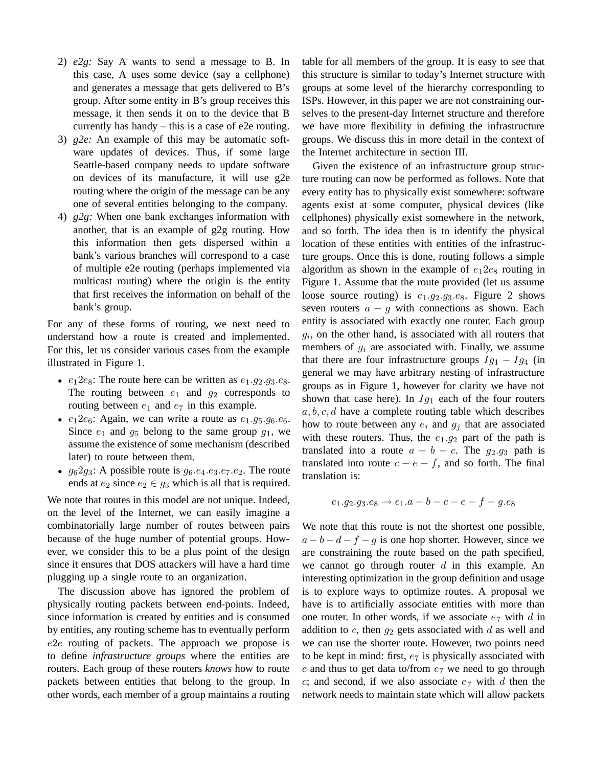- 2) *e2g:* Say A wants to send a message to B. In this case, A uses some device (say a cellphone) and generates a message that gets delivered to B's group. After some entity in B's group receives this message, it then sends it on to the device that B currently has handy – this is a case of e2e routing.
- 3) *g2e:* An example of this may be automatic software updates of devices. Thus, if some large Seattle-based company needs to update software on devices of its manufacture, it will use g2e routing where the origin of the message can be any one of several entities belonging to the company.
- 4) *g2g:* When one bank exchanges information with another, that is an example of g2g routing. How this information then gets dispersed within a bank's various branches will correspond to a case of multiple e2e routing (perhaps implemented via multicast routing) where the origin is the entity that first receives the information on behalf of the bank's group.

For any of these forms of routing, we next need to understand how a route is created and implemented. For this, let us consider various cases from the example illustrated in Figure 1.

- $e_1 2e_8$ : The route here can be written as  $e_1. g_2. g_3. e_8$ . The routing between  $e_1$  and  $g_2$  corresponds to routing between  $e_1$  and  $e_7$  in this example.
- $e_1 2e_6$ : Again, we can write a route as  $e_1.g_5.g_6.e_6$ . Since  $e_1$  and  $g_5$  belong to the same group  $g_1$ , we assume the existence of some mechanism (described later) to route between them.
- $g_62g_3$ : A possible route is  $g_6.e_4.e_3.e_7.e_2$ . The route ends at  $e_2$  since  $e_2 \in g_3$  which is all that is required.

We note that routes in this model are not unique. Indeed, on the level of the Internet, we can easily imagine a combinatorially large number of routes between pairs because of the huge number of potential groups. However, we consider this to be a plus point of the design since it ensures that DOS attackers will have a hard time plugging up a single route to an organization.

The discussion above has ignored the problem of physically routing packets between end-points. Indeed, since information is created by entities and is consumed by entities, any routing scheme has to eventually perform e2e routing of packets. The approach we propose is to define *infrastructure groups* where the entities are routers. Each group of these routers *knows* how to route packets between entities that belong to the group. In other words, each member of a group maintains a routing

table for all members of the group. It is easy to see that this structure is similar to today's Internet structure with groups at some level of the hierarchy corresponding to ISPs. However, in this paper we are not constraining ourselves to the present-day Internet structure and therefore we have more flexibility in defining the infrastructure groups. We discuss this in more detail in the context of the Internet architecture in section III.

Given the existence of an infrastructure group structure routing can now be performed as follows. Note that every entity has to physically exist somewhere: software agents exist at some computer, physical devices (like cellphones) physically exist somewhere in the network, and so forth. The idea then is to identify the physical location of these entities with entities of the infrastructure groups. Once this is done, routing follows a simple algorithm as shown in the example of  $e_12e_8$  routing in Figure 1. Assume that the route provided (let us assume loose source routing) is  $e_1 \_q_2 \_q_3 \_e_8$ . Figure 2 shows seven routers  $a - g$  with connections as shown. Each entity is associated with exactly one router. Each group g*i*, on the other hand, is associated with all routers that members of g*<sup>i</sup>* are associated with. Finally, we assume that there are four infrastructure groups  $Ig_1 - Ig_4$  (in general we may have arbitrary nesting of infrastructure groups as in Figure 1, however for clarity we have not shown that case here). In  $Ig_1$  each of the four routers  $a, b, c, d$  have a complete routing table which describes how to route between any  $e_i$  and  $g_j$  that are associated with these routers. Thus, the  $e_1 \cdot q_2$  part of the path is translated into a route  $a - b - c$ . The  $g_2.g_3$  path is translated into route  $c - e - f$ , and so forth. The final translation is:

$$
e_1.g_2.g_3.e_8 \to e_1.a - b - c - e - f - g.e_8
$$

We note that this route is not the shortest one possible,  $a - b - d - f - g$  is one hop shorter. However, since we are constraining the route based on the path specified, we cannot go through router  $d$  in this example. An interesting optimization in the group definition and usage is to explore ways to optimize routes. A proposal we have is to artificially associate entities with more than one router. In other words, if we associate  $e_7$  with d in addition to c, then  $q_2$  gets associated with d as well and we can use the shorter route. However, two points need to be kept in mind: first,  $e_7$  is physically associated with  $c$  and thus to get data to/from  $e<sub>7</sub>$  we need to go through c; and second, if we also associate  $e_7$  with d then the network needs to maintain state which will allow packets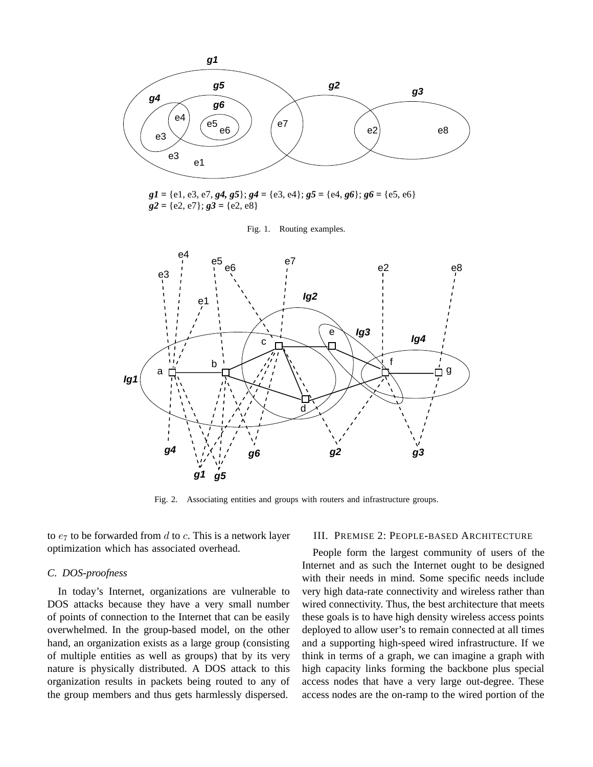

 $g1 = \{e1, e3, e7, g4, g5\}; g4 = \{e3, e4\}; g5 = \{e4, g6\}; g6 = \{e5, e6\}$  $g2 = \{e2, e7\}; g3 = \{e2, e8\}$ 

Fig. 1. Routing examples.



Fig. 2. Associating entities and groups with routers and infrastructure groups.

to  $e_7$  to be forwarded from d to c. This is a network layer optimization which has associated overhead.

## *C. DOS-proofness*

In today's Internet, organizations are vulnerable to DOS attacks because they have a very small number of points of connection to the Internet that can be easily overwhelmed. In the group-based model, on the other hand, an organization exists as a large group (consisting of multiple entities as well as groups) that by its very nature is physically distributed. A DOS attack to this organization results in packets being routed to any of the group members and thus gets harmlessly dispersed.

## III. PREMISE 2: PEOPLE-BASED ARCHITECTURE

People form the largest community of users of the Internet and as such the Internet ought to be designed with their needs in mind. Some specific needs include very high data-rate connectivity and wireless rather than wired connectivity. Thus, the best architecture that meets these goals is to have high density wireless access points deployed to allow user's to remain connected at all times and a supporting high-speed wired infrastructure. If we think in terms of a graph, we can imagine a graph with high capacity links forming the backbone plus special access nodes that have a very large out-degree. These access nodes are the on-ramp to the wired portion of the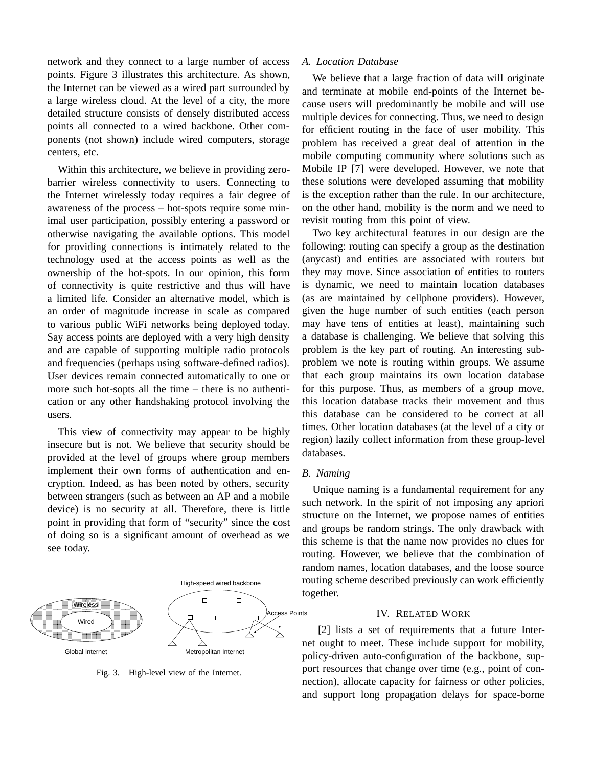network and they connect to a large number of access points. Figure 3 illustrates this architecture. As shown, the Internet can be viewed as a wired part surrounded by a large wireless cloud. At the level of a city, the more detailed structure consists of densely distributed access points all connected to a wired backbone. Other components (not shown) include wired computers, storage centers, etc.

Within this architecture, we believe in providing zerobarrier wireless connectivity to users. Connecting to the Internet wirelessly today requires a fair degree of awareness of the process – hot-spots require some minimal user participation, possibly entering a password or otherwise navigating the available options. This model for providing connections is intimately related to the technology used at the access points as well as the ownership of the hot-spots. In our opinion, this form of connectivity is quite restrictive and thus will have a limited life. Consider an alternative model, which is an order of magnitude increase in scale as compared to various public WiFi networks being deployed today. Say access points are deployed with a very high density and are capable of supporting multiple radio protocols and frequencies (perhaps using software-defined radios). User devices remain connected automatically to one or more such hot-sopts all the time – there is no authentication or any other handshaking protocol involving the users.

This view of connectivity may appear to be highly insecure but is not. We believe that security should be provided at the level of groups where group members implement their own forms of authentication and encryption. Indeed, as has been noted by others, security between strangers (such as between an AP and a mobile device) is no security at all. Therefore, there is little point in providing that form of "security" since the cost of doing so is a significant amount of overhead as we see today.



Fig. 3. High-level view of the Internet.

#### *A. Location Database*

We believe that a large fraction of data will originate and terminate at mobile end-points of the Internet because users will predominantly be mobile and will use multiple devices for connecting. Thus, we need to design for efficient routing in the face of user mobility. This problem has received a great deal of attention in the mobile computing community where solutions such as Mobile IP [7] were developed. However, we note that these solutions were developed assuming that mobility is the exception rather than the rule. In our architecture, on the other hand, mobility is the norm and we need to revisit routing from this point of view.

Two key architectural features in our design are the following: routing can specify a group as the destination (anycast) and entities are associated with routers but they may move. Since association of entities to routers is dynamic, we need to maintain location databases (as are maintained by cellphone providers). However, given the huge number of such entities (each person may have tens of entities at least), maintaining such a database is challenging. We believe that solving this problem is the key part of routing. An interesting subproblem we note is routing within groups. We assume that each group maintains its own location database for this purpose. Thus, as members of a group move, this location database tracks their movement and thus this database can be considered to be correct at all times. Other location databases (at the level of a city or region) lazily collect information from these group-level databases.

## *B. Naming*

Unique naming is a fundamental requirement for any such network. In the spirit of not imposing any apriori structure on the Internet, we propose names of entities and groups be random strings. The only drawback with this scheme is that the name now provides no clues for routing. However, we believe that the combination of random names, location databases, and the loose source routing scheme described previously can work efficiently together.

### IV. RELATED WORK

[2] lists a set of requirements that a future Internet ought to meet. These include support for mobility, policy-driven auto-configuration of the backbone, support resources that change over time (e.g., point of connection), allocate capacity for fairness or other policies, and support long propagation delays for space-borne